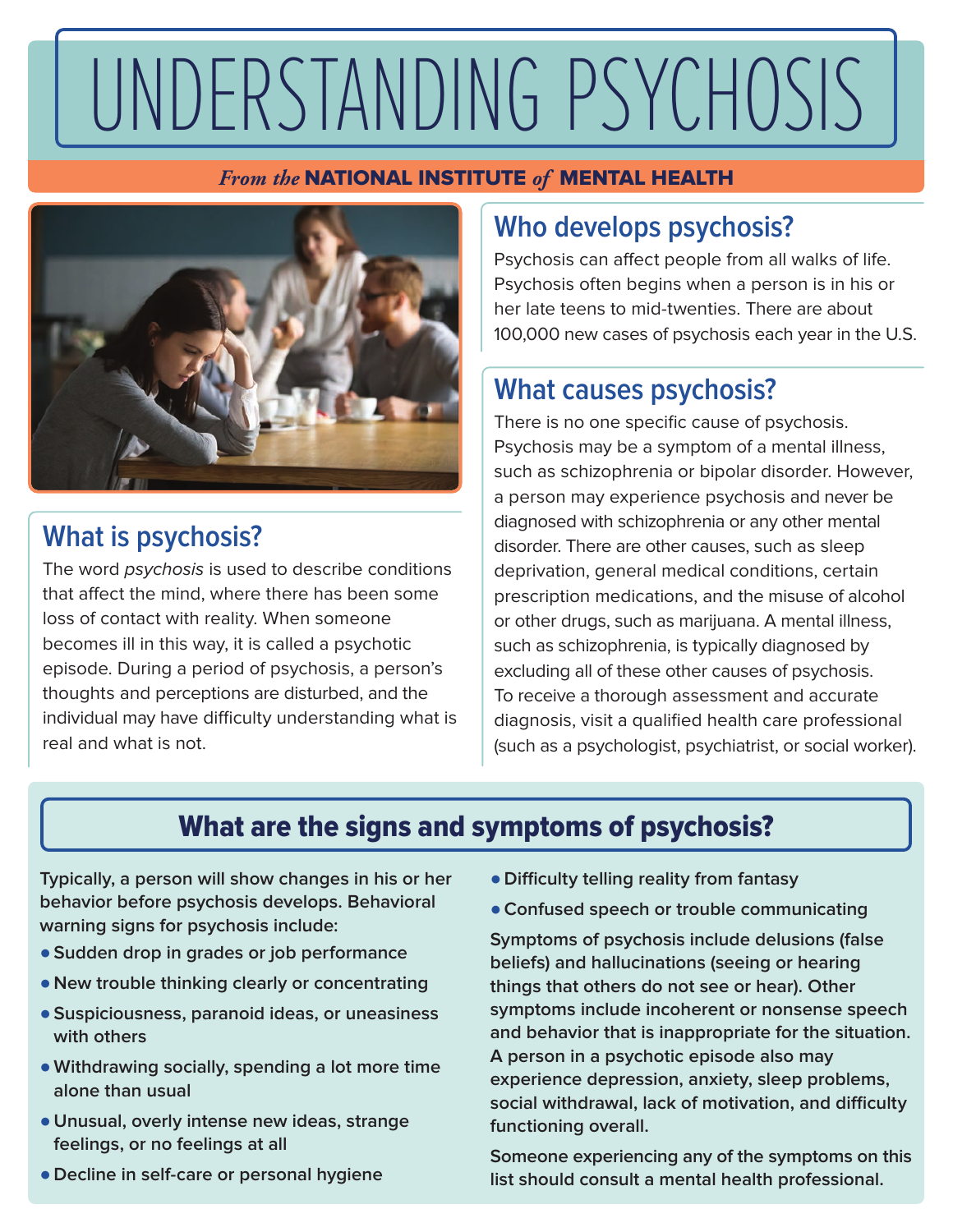# UNDERSTANDING PSYCHOSIS

### *From the* NATIONAL INSTITUTE *of* MENTAL HEALTH



# **What is psychosis?**

The word psychosis is used to describe conditions that affect the mind, where there has been some loss of contact with reality. When someone becomes ill in this way, it is called a psychotic episode. During a period of psychosis, a person's thoughts and perceptions are disturbed, and the individual may have difficulty understanding what is real and what is not.

# **Who develops psychosis?**

Psychosis can affect people from all walks of life. Psychosis often begins when a person is in his or her late teens to mid-twenties. There are about 100,000 new cases of psychosis each year in the U.S.

## **What causes psychosis?**

There is no one specific cause of psychosis. Psychosis may be a symptom of a mental illness, such as schizophrenia or bipolar disorder. However, a person may experience psychosis and never be diagnosed with schizophrenia or any other mental disorder. There are other causes, such as sleep deprivation, general medical conditions, certain prescription medications, and the misuse of alcohol or other drugs, such as marijuana. A mental illness, such as schizophrenia, is typically diagnosed by excluding all of these other causes of psychosis. To receive a thorough assessment and accurate diagnosis, visit a qualified health care professional (such as a psychologist, psychiatrist, or social worker).

# What are the signs and symptoms of psychosis?

**Typically, a person will show changes in his or her behavior before psychosis develops. Behavioral warning signs for psychosis include:**

- ●**Sudden drop in grades or job performance**
- **New trouble thinking clearly or concentrating**
- ●**Suspiciousness, paranoid ideas, or uneasiness with others**
- ●**Withdrawing socially, spending a lot more time alone than usual**
- **Unusual, overly intense new ideas, strange feelings, or no feelings at all**
- **Decline in self-care or personal hygiene**
- **Difficulty telling reality from fantasy**
- ●**Confused speech or trouble communicating**

**Symptoms of psychosis include delusions (false beliefs) and hallucinations (seeing or hearing things that others do not see or hear). Other symptoms include incoherent or nonsense speech and behavior that is inappropriate for the situation. A person in a psychotic episode also may experience depression, anxiety, sleep problems, social withdrawal, lack of motivation, and difficulty functioning overall.** 

**Someone experiencing any of the symptoms on this list should consult a mental health professional.**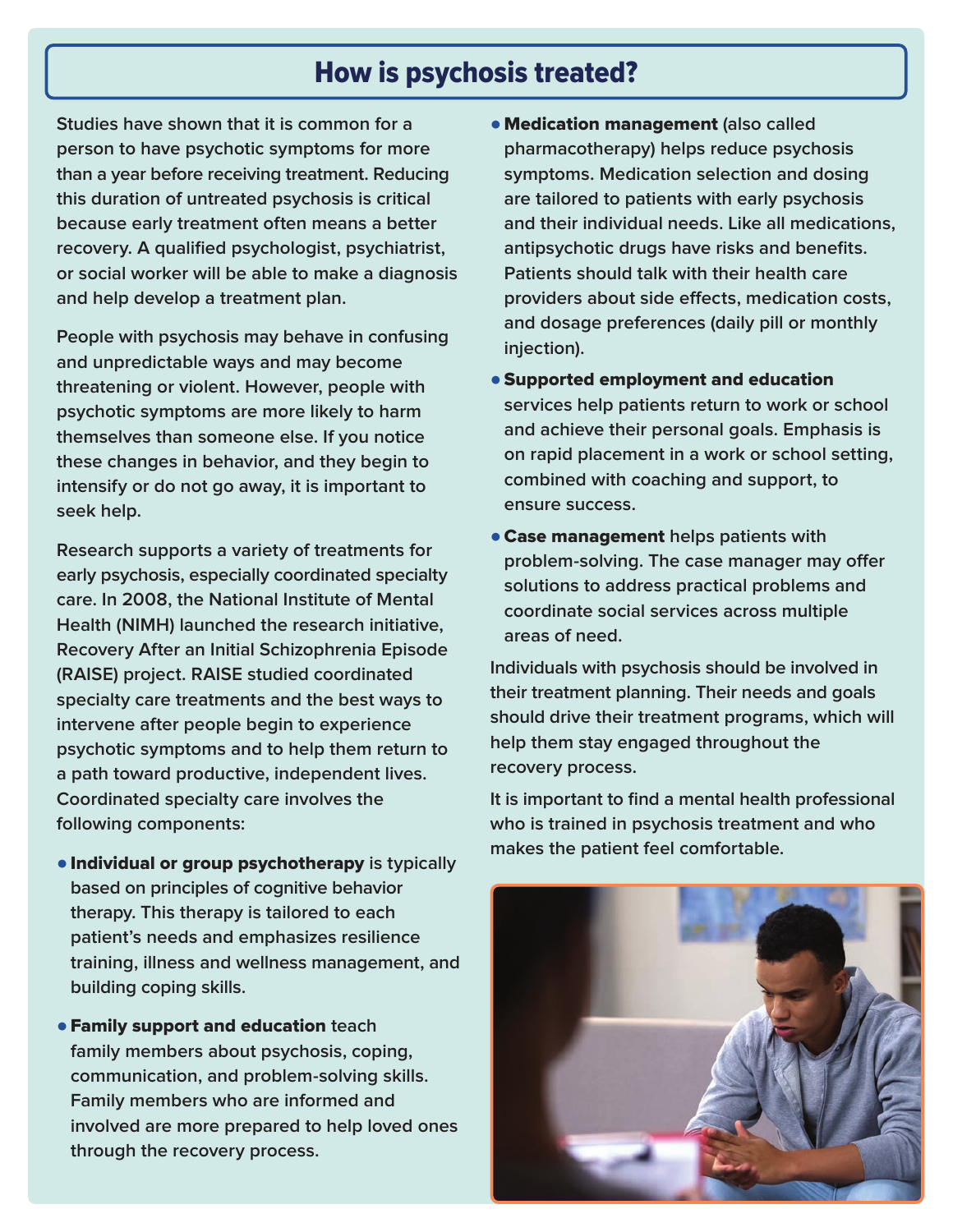## How is psychosis treated?

**Studies have shown that it is common for a person to have psychotic symptoms for more than a year before receiving treatment. Reducing this duration of untreated psychosis is critical because early treatment often means a better recovery. A qualified psychologist, psychiatrist, or social worker will be able to make a diagnosis and help develop a treatment plan.** 

**People with psychosis may behave in confusing and unpredictable ways and may become threatening or violent. However, people with psychotic symptoms are more likely to harm themselves than someone else. If you notice these changes in behavior, and they begin to intensify or do not go away, it is important to seek help.**

**Research supports a variety of treatments for early psychosis, especially coordinated specialty care. In 2008, the National Institute of Mental Health (NIMH) launched the research initiative, Recovery After an Initial Schizophrenia Episode (RAISE) project. RAISE studied coordinated specialty care treatments and the best ways to intervene after people begin to experience psychotic symptoms and to help them return to a path toward productive, independent lives. Coordinated specialty care involves the following components:**

- ●Individual or group psychotherapy **is typically based on principles of cognitive behavior therapy. This therapy is tailored to each patient's needs and emphasizes resilience training, illness and wellness management, and building coping skills.**
- ●Family support and education **teach family members about psychosis, coping, communication, and problem-solving skills. Family members who are informed and involved are more prepared to help loved ones through the recovery process.**
- ●Medication management **(also called pharmacotherapy) helps reduce psychosis symptoms. Medication selection and dosing are tailored to patients with early psychosis and their individual needs. Like all medications, antipsychotic drugs have risks and benefits. Patients should talk with their health care providers about side effects, medication costs, and dosage preferences (daily pill or monthly injection).**
- ●Supported employment and education **services help patients return to work or school and achieve their personal goals. Emphasis is on rapid placement in a work or school setting, combined with coaching and support, to ensure success.**
- ●Case management **helps patients with problem-solving. The case manager may offer solutions to address practical problems and coordinate social services across multiple areas of need.**

**Individuals with psychosis should be involved in their treatment planning. Their needs and goals should drive their treatment programs, which will help them stay engaged throughout the recovery process.** 

**It is important to find a mental health professional who is trained in psychosis treatment and who makes the patient feel comfortable.**